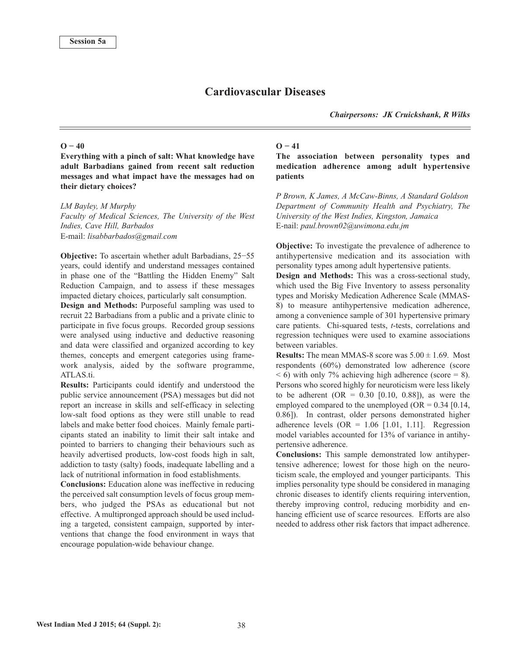# **Cardiovascular Diseases**

*Chairpersons: JK Cruickshank, R Wilks*

### $O - 40$

**Everything with a pinch of salt: What knowledge have adult Barbadians gained from recent salt reduction messages and what impact have the messages had on their dietary choices?**

#### *LM Bayley, M Murphy*

*Faculty of Medical Sciences, The University of the West Indies, Cave Hill, Barbados* E-mail: *lisabbarbados@gmail.com*

**Objective:** To ascertain whether adult Barbadians, 25−55 years, could identify and understand messages contained in phase one of the "Battling the Hidden Enemy" Salt Reduction Campaign, and to assess if these messages impacted dietary choices, particularly salt consumption.

**Design and Methods:** Purposeful sampling was used to recruit 22 Barbadians from a public and a private clinic to participate in five focus groups. Recorded group sessions were analysed using inductive and deductive reasoning and data were classified and organized according to key themes, concepts and emergent categories using framework analysis, aided by the software programme, ATLAS.ti.

**Results:** Participants could identify and understood the public service announcement (PSA) messages but did not report an increase in skills and self-efficacy in selecting low-salt food options as they were still unable to read labels and make better food choices. Mainly female participants stated an inability to limit their salt intake and pointed to barriers to changing their behaviours such as heavily advertised products, low-cost foods high in salt, addiction to tasty (salty) foods, inadequate labelling and a lack of nutritional information in food establishments.

**Conclusions:** Education alone was ineffective in reducing the perceived salt consumption levels of focus group members, who judged the PSAs as educational but not effective. A multipronged approach should be used including a targeted, consistent campaign, supported by interventions that change the food environment in ways that encourage population-wide behaviour change.

### **O − 41**

**The association between personality types and medication adherence among adult hypertensive patients**

*P Brown, K James, A McCaw-Binns, A Standard Goldson Department of Community Health and Psychiatry, The University of the West Indies, Kingston, Jamaica* E-nail: *paul.brown02@uwimona.edu.jm*

**Objective:** To investigate the prevalence of adherence to antihypertensive medication and its association with personality types among adult hypertensive patients.

**Design and Methods:** This was a cross-sectional study, which used the Big Five Inventory to assess personality types and Morisky Medication Adherence Scale (MMAS-8) to measure antihypertensive medication adherence, among a convenience sample of 301 hypertensive primary care patients. Chi-squared tests, *t*-tests, correlations and regression techniques were used to examine associations between variables.

**Results:** The mean MMAS-8 score was  $5.00 \pm 1.69$ . Most respondents (60%) demonstrated low adherence (score  $<$  6) with only 7% achieving high adherence (score = 8). Persons who scored highly for neuroticism were less likely to be adherent  $(OR = 0.30 [0.10, 0.88])$ , as were the employed compared to the unemployed (OR =  $0.34$  [0.14, 0.86]). In contrast, older persons demonstrated higher adherence levels  $(OR = 1.06$  [1.01, 1.11]. Regression model variables accounted for 13% of variance in antihypertensive adherence.

**Conclusions:** This sample demonstrated low antihypertensive adherence; lowest for those high on the neuroticism scale, the employed and younger participants. This implies personality type should be considered in managing chronic diseases to identify clients requiring intervention, thereby improving control, reducing morbidity and enhancing efficient use of scarce resources. Efforts are also needed to address other risk factors that impact adherence.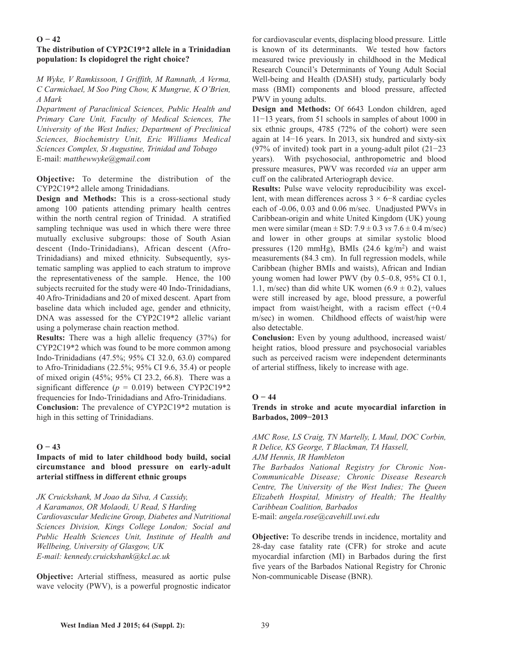### $O - 42$

## **The distribution of CYP2C19\*2 allele in a Trinidadian population: Is clopidogrel the right choice?**

*M Wyke, V Ramkissoon, I Griffith, M Ramnath, A Verma, C Carmichael, M Soo Ping Chow, K Mungrue, K O'Brien, A Mark*

*Department of Paraclinical Sciences, Public Health and Primary Care Unit, Faculty of Medical Sciences, The University of the West Indies; Department of Preclinical Sciences, Biochemistry Unit, Eric Williams Medical Sciences Complex, St Augustine, Trinidad and Tobago* E-mail: *matthewwyke@gmail.com*

**Objective:** To determine the distribution of the CYP2C19\*2 allele among Trinidadians.

**Design and Methods:** This is a cross-sectional study among 100 patients attending primary health centres within the north central region of Trinidad. A stratified sampling technique was used in which there were three mutually exclusive subgroups: those of South Asian descent (Indo-Trinidadians), African descent (Afro-Trinidadians) and mixed ethnicity. Subsequently, systematic sampling was applied to each stratum to improve the representativeness of the sample. Hence, the 100 subjects recruited for the study were 40 Indo-Trinidadians, 40 Afro-Trinidadians and 20 of mixed descent. Apart from baseline data which included age, gender and ethnicity, DNA was assessed for the CYP2C19\*2 allelic variant using a polymerase chain reaction method.

**Results:** There was a high allelic frequency (37%) for CYP2C19\*2 which was found to be more common among Indo-Trinidadians (47.5%; 95% CI 32.0, 63.0) compared to Afro-Trinidadians (22.5%; 95% CI 9.6, 35.4) or people of mixed origin (45%; 95% CI 23.2, 66.8). There was a significant difference  $(p = 0.019)$  between CYP2C19\*2 frequencies for Indo-Trinidadians and Afro-Trinidadians. **Conclusion:** The prevalence of CYP2C19\*2 mutation is high in this setting of Trinidadians.

### $O - 43$

### **Impacts of mid to later childhood body build, social circumstance and blood pressure on early-adult arterial stiffness in different ethnic groups**

*JK Cruickshank, M Joao da Silva, A Cassidy, A Karamanos, OR Molaodi, U Read, S Harding Cardiovascular Medicine Group, Diabetes and Nutritional Sciences Division, Kings College London; Social and Public Health Sciences Unit, Institute of Health and Wellbeing, University of Glasgow, UK E-mail: kennedy.cruickshank@kcl.ac.uk*

**Objective:** Arterial stiffness, measured as aortic pulse wave velocity (PWV), is a powerful prognostic indicator for cardiovascular events, displacing blood pressure. Little is known of its determinants. We tested how factors measured twice previously in childhood in the Medical Research Council's Determinants of Young Adult Social Well-being and Health (DASH) study, particularly body mass (BMI) components and blood pressure, affected PWV in young adults.

**Design and Methods:** Of 6643 London children, aged 11−13 years, from 51 schools in samples of about 1000 in six ethnic groups, 4785 (72% of the cohort) were seen again at 14−16 years. In 2013, six hundred and sixty-six (97% of invited) took part in a young-adult pilot (21−23 years). With psychosocial, anthropometric and blood pressure measures, PWV was recorded *via* an upper arm cuff on the calibrated Arteriograph device.

**Results:** Pulse wave velocity reproducibility was excellent, with mean differences across 3 × 6−8 cardiac cycles each of -0.06, 0.03 and 0.06 m/sec. Unadjusted PWVs in Caribbean-origin and white United Kingdom (UK) young men were similar (mean ± SD: 7.9 ± 0.3 *vs* 7.6 ± 0.4 m/sec) and lower in other groups at similar systolic blood pressures (120 mmHg), BMIs (24.6 kg/m<sup>2</sup>) and waist measurements (84.3 cm). In full regression models, while Caribbean (higher BMIs and waists), African and Indian young women had lower PWV (by 0.5–0.8, 95% CI 0.1, 1.1, m/sec) than did white UK women  $(6.9 \pm 0.2)$ , values were still increased by age, blood pressure, a powerful impact from waist/height, with a racism effect (+0.4 m/sec) in women. Childhood effects of waist/hip were also detectable.

**Conclusion:** Even by young adulthood, increased waist/ height ratios, blood pressure and psychosocial variables such as perceived racism were independent determinants of arterial stiffness, likely to increase with age.

### **O − 44**

### **Trends in stroke and acute myocardial infarction in Barbados, 2009−2013**

*AMC Rose, LS Craig, TN Martelly, L Maul, DOC Corbin, R Delice, KS George, T Blackman, TA Hassell, AJM Hennis, IR Hambleton*

*The Barbados National Registry for Chronic Non-Communicable Disease; Chronic Disease Research Centre, The University of the West Indies; The Queen Elizabeth Hospital, Ministry of Health; The Healthy Caribbean Coalition, Barbados*

E-mail: *angela.rose@cavehill.uwi.edu*

**Objective:** To describe trends in incidence, mortality and 28-day case fatality rate (CFR) for stroke and acute myocardial infarction (MI) in Barbados during the first five years of the Barbados National Registry for Chronic Non-communicable Disease (BNR).